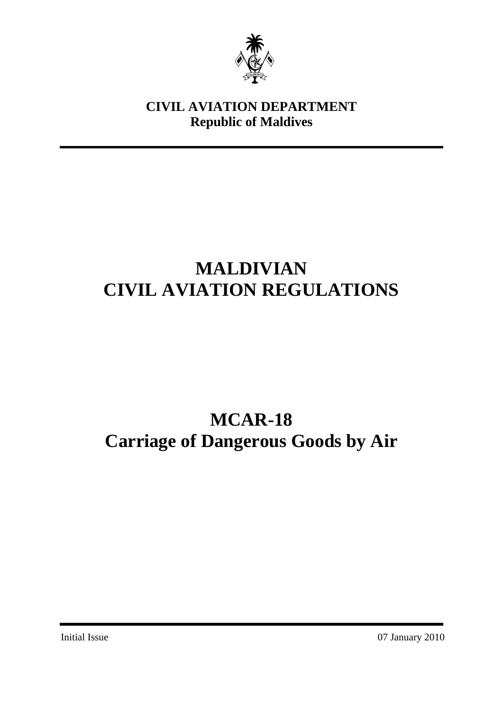

## **CIVIL AVIATION DEPARTMENT Republic of Maldives**

# **MALDIVIAN CIVIL AVIATION REGULATIONS**

# **MCAR-18 Carriage of Dangerous Goods by Air**

Initial Issue 07 January 2010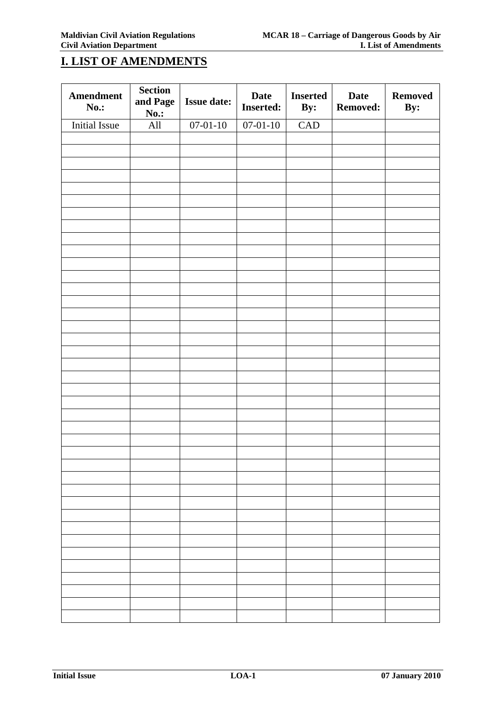## **I. LIST OF AMENDMENTS**

| <b>Amendment</b><br>No.: | <b>Section</b><br>and Page<br><b>No.:</b> | <b>Issue date:</b> | <b>Date</b><br><b>Inserted:</b> | <b>Inserted</b><br>By: | <b>Date</b><br><b>Removed:</b> | <b>Removed</b><br>By: |
|--------------------------|-------------------------------------------|--------------------|---------------------------------|------------------------|--------------------------------|-----------------------|
| Initial Issue            | All                                       | $07 - 01 - 10$     | $07 - 01 - 10$                  | CAD                    |                                |                       |
|                          |                                           |                    |                                 |                        |                                |                       |
|                          |                                           |                    |                                 |                        |                                |                       |
|                          |                                           |                    |                                 |                        |                                |                       |
|                          |                                           |                    |                                 |                        |                                |                       |
|                          |                                           |                    |                                 |                        |                                |                       |
|                          |                                           |                    |                                 |                        |                                |                       |
|                          |                                           |                    |                                 |                        |                                |                       |
|                          |                                           |                    |                                 |                        |                                |                       |
|                          |                                           |                    |                                 |                        |                                |                       |
|                          |                                           |                    |                                 |                        |                                |                       |
|                          |                                           |                    |                                 |                        |                                |                       |
|                          |                                           |                    |                                 |                        |                                |                       |
|                          |                                           |                    |                                 |                        |                                |                       |
|                          |                                           |                    |                                 |                        |                                |                       |
|                          |                                           |                    |                                 |                        |                                |                       |
|                          |                                           |                    |                                 |                        |                                |                       |
|                          |                                           |                    |                                 |                        |                                |                       |
|                          |                                           |                    |                                 |                        |                                |                       |
|                          |                                           |                    |                                 |                        |                                |                       |
|                          |                                           |                    |                                 |                        |                                |                       |
|                          |                                           |                    |                                 |                        |                                |                       |
|                          |                                           |                    |                                 |                        |                                |                       |
|                          |                                           |                    |                                 |                        |                                |                       |
|                          |                                           |                    |                                 |                        |                                |                       |
|                          |                                           |                    |                                 |                        |                                |                       |
|                          |                                           |                    |                                 |                        |                                |                       |
|                          |                                           |                    |                                 |                        |                                |                       |
|                          |                                           |                    |                                 |                        |                                |                       |
|                          |                                           |                    |                                 |                        |                                |                       |
|                          |                                           |                    |                                 |                        |                                |                       |
|                          |                                           |                    |                                 |                        |                                |                       |
|                          |                                           |                    |                                 |                        |                                |                       |
|                          |                                           |                    |                                 |                        |                                |                       |
|                          |                                           |                    |                                 |                        |                                |                       |
|                          |                                           |                    |                                 |                        |                                |                       |
|                          |                                           |                    |                                 |                        |                                |                       |
|                          |                                           |                    |                                 |                        |                                |                       |
|                          |                                           |                    |                                 |                        |                                |                       |
|                          |                                           |                    |                                 |                        |                                |                       |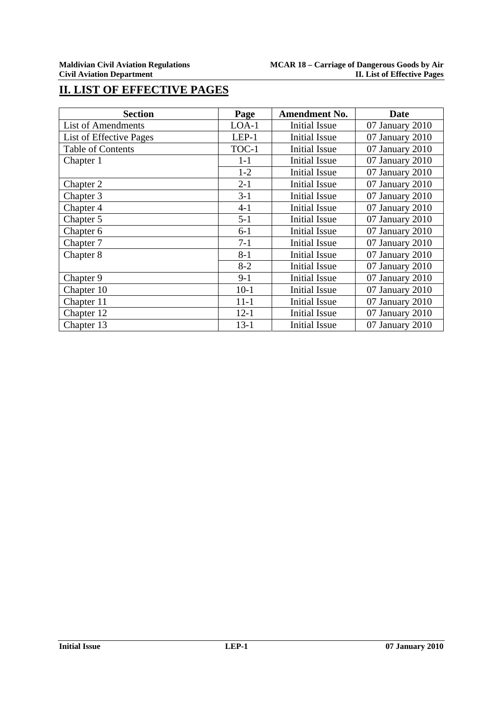## **II. LIST OF EFFECTIVE PAGES**

| <b>Section</b>           | Page     | <b>Amendment No.</b> | Date            |
|--------------------------|----------|----------------------|-----------------|
| List of Amendments       | $LOA-1$  | Initial Issue        | 07 January 2010 |
| List of Effective Pages  | $LEP-1$  | <b>Initial Issue</b> | 07 January 2010 |
| <b>Table of Contents</b> | TOC-1    | <b>Initial Issue</b> | 07 January 2010 |
| Chapter 1                | $1 - 1$  | <b>Initial Issue</b> | 07 January 2010 |
|                          | $1-2$    | <b>Initial Issue</b> | 07 January 2010 |
| Chapter 2                | $2 - 1$  | <b>Initial Issue</b> | 07 January 2010 |
| Chapter 3                | $3 - 1$  | Initial Issue        | 07 January 2010 |
| Chapter 4                | $4 - 1$  | <b>Initial Issue</b> | 07 January 2010 |
| Chapter 5                | $5 - 1$  | <b>Initial Issue</b> | 07 January 2010 |
| Chapter 6                | $6 - 1$  | Initial Issue        | 07 January 2010 |
| Chapter 7                | $7 - 1$  | <b>Initial Issue</b> | 07 January 2010 |
| Chapter 8                | $8 - 1$  | <b>Initial Issue</b> | 07 January 2010 |
|                          | $8 - 2$  | <b>Initial Issue</b> | 07 January 2010 |
| Chapter 9                | $9 - 1$  | <b>Initial Issue</b> | 07 January 2010 |
| Chapter 10               | $10-1$   | <b>Initial Issue</b> | 07 January 2010 |
| Chapter 11               | $11 - 1$ | <b>Initial Issue</b> | 07 January 2010 |
| Chapter 12               | $12 - 1$ | Initial Issue        | 07 January 2010 |
| Chapter 13               | $13 - 1$ | <b>Initial Issue</b> | 07 January 2010 |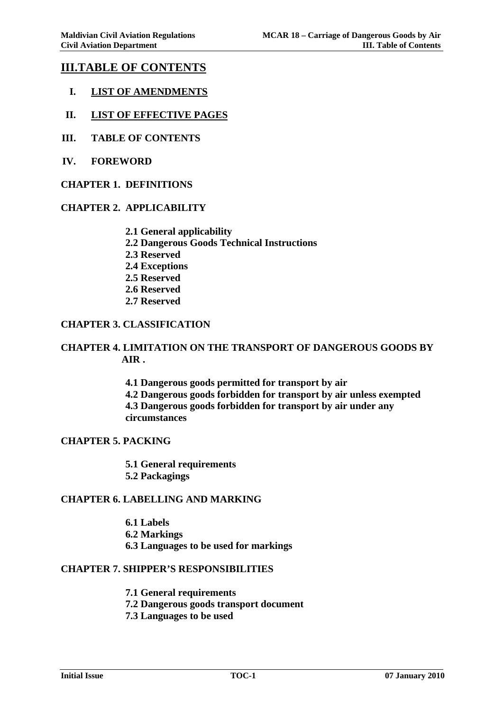## **III.TABLE OF CONTENTS**

- **I. LIST OF AMENDMENTS**
- **II. LIST OF EFFECTIVE PAGES**
- **III. TABLE OF CONTENTS**
- **IV. FOREWORD**
- **CHAPTER 1. DEFINITIONS**

#### **CHAPTER 2. APPLICABILITY**

- **2.1 General applicability**
- **2.2 Dangerous Goods Technical Instructions**
- **2.3 Reserved**
- **2.4 Exceptions**
- **2.5 Reserved**
- **2.6 Reserved**
- **2.7 Reserved**

#### **CHAPTER 3. CLASSIFICATION**

#### **CHAPTER 4. LIMITATION ON THE TRANSPORT OF DANGEROUS GOODS BY AIR .**

**4.1 Dangerous goods permitted for transport by air 4.2 Dangerous goods forbidden for transport by air unless exempted 4.3 Dangerous goods forbidden for transport by air under any circumstances** 

#### **CHAPTER 5. PACKING**

**5.1 General requirements 5.2 Packagings** 

#### **CHAPTER 6. LABELLING AND MARKING**

**6.1 Labels 6.2 Markings 6.3 Languages to be used for markings** 

#### **CHAPTER 7. SHIPPER'S RESPONSIBILITIES**

- **7.1 General requirements**
- **7.2 Dangerous goods transport document**
- **7.3 Languages to be used**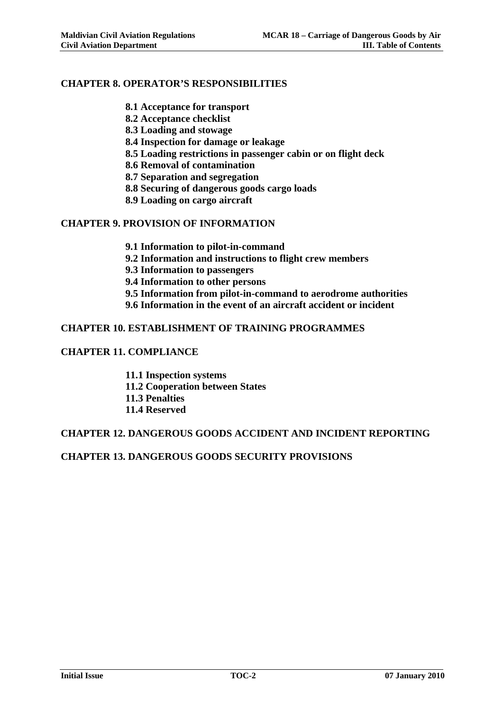#### **CHAPTER 8. OPERATOR'S RESPONSIBILITIES**

- **8.1 Acceptance for transport**
- **8.2 Acceptance checklist**
- **8.3 Loading and stowage**
- **8.4 Inspection for damage or leakage**
- **8.5 Loading restrictions in passenger cabin or on flight deck**
- **8.6 Removal of contamination**
- **8.7 Separation and segregation**
- **8.8 Securing of dangerous goods cargo loads**
- **8.9 Loading on cargo aircraft**

#### **CHAPTER 9. PROVISION OF INFORMATION**

- **9.1 Information to pilot-in-command**
- **9.2 Information and instructions to flight crew members**
- **9.3 Information to passengers**
- **9.4 Information to other persons**
- **9.5 Information from pilot-in-command to aerodrome authorities**
- **9.6 Information in the event of an aircraft accident or incident**

#### **CHAPTER 10. ESTABLISHMENT OF TRAINING PROGRAMMES**

#### **CHAPTER 11. COMPLIANCE**

- **11.1 Inspection systems**
- **11.2 Cooperation between States**
- **11.3 Penalties**
- **11.4 Reserved**

#### **CHAPTER 12. DANGEROUS GOODS ACCIDENT AND INCIDENT REPORTING**

#### **CHAPTER 13. DANGEROUS GOODS SECURITY PROVISIONS**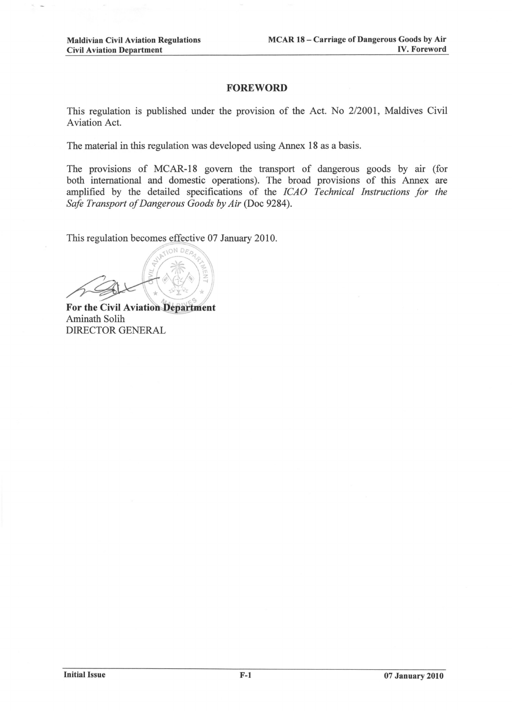#### **FOREWORD**

This regulation is published under the provision of the Act. No 2/2001, Maldives Civil Aviation Act.

The material in this regulation was developed using Annex 18 as a basis.

The provisions of MCAR-18 govern the transport of dangerous goods by air (for both international and domestic operations). The broad provisions of this Annex are amplified by the detailed specifications of the ICAO Technical Instructions for the Safe Transport of Dangerous Goods by Air (Doc 9284).

This regulation becomes effective 07 January 2010.

For the Civil Aviation Department Aminath Solih DIRECTOR GENERAL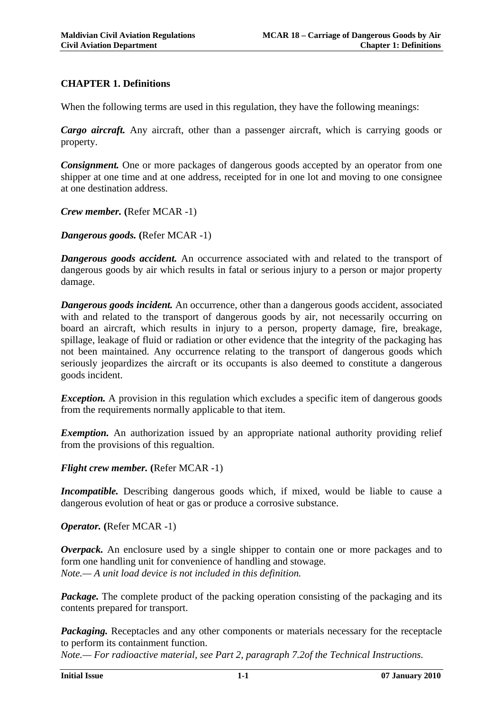## **CHAPTER 1. Definitions**

When the following terms are used in this regulation, they have the following meanings:

*Cargo aircraft.* Any aircraft, other than a passenger aircraft, which is carrying goods or property.

*Consignment.* One or more packages of dangerous goods accepted by an operator from one shipper at one time and at one address, receipted for in one lot and moving to one consignee at one destination address.

*Crew member.* **(**Refer MCAR -1)

*Dangerous goods.* **(**Refer MCAR -1)

*Dangerous goods accident.* An occurrence associated with and related to the transport of dangerous goods by air which results in fatal or serious injury to a person or major property damage.

*Dangerous goods incident.* An occurrence, other than a dangerous goods accident, associated with and related to the transport of dangerous goods by air, not necessarily occurring on board an aircraft, which results in injury to a person, property damage, fire, breakage, spillage, leakage of fluid or radiation or other evidence that the integrity of the packaging has not been maintained. Any occurrence relating to the transport of dangerous goods which seriously jeopardizes the aircraft or its occupants is also deemed to constitute a dangerous goods incident.

*Exception.* A provision in this regulation which excludes a specific item of dangerous goods from the requirements normally applicable to that item.

*Exemption.* An authorization issued by an appropriate national authority providing relief from the provisions of this regualtion.

*Flight crew member.* **(**Refer MCAR -1)

*Incompatible.* Describing dangerous goods which, if mixed, would be liable to cause a dangerous evolution of heat or gas or produce a corrosive substance.

*Operator.* **(**Refer MCAR -1)

*Overpack.* An enclosure used by a single shipper to contain one or more packages and to form one handling unit for convenience of handling and stowage. *Note.— A unit load device is not included in this definition.* 

*Package.* The complete product of the packing operation consisting of the packaging and its contents prepared for transport.

*Packaging.* Receptacles and any other components or materials necessary for the receptacle to perform its containment function.

*Note.— For radioactive material, see Part 2, paragraph 7.2of the Technical Instructions.*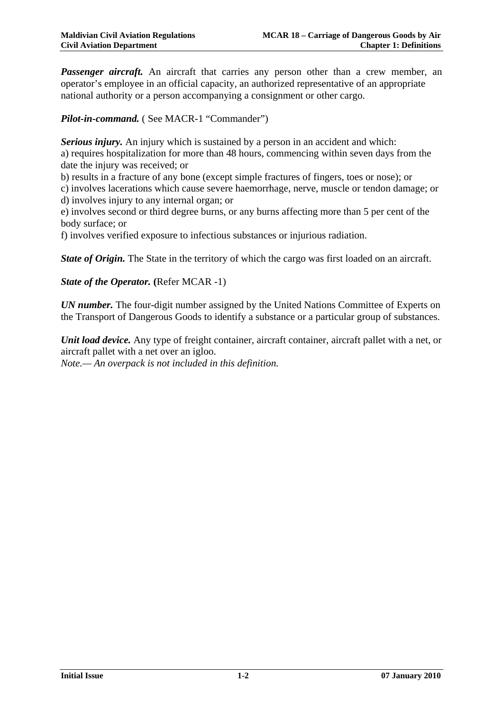**Passenger aircraft.** An aircraft that carries any person other than a crew member, an operator's employee in an official capacity, an authorized representative of an appropriate national authority or a person accompanying a consignment or other cargo.

*Pilot-in-command.* ( See MACR-1 "Commander")

*Serious injury.* An injury which is sustained by a person in an accident and which: a) requires hospitalization for more than 48 hours, commencing within seven days from the date the injury was received; or

b) results in a fracture of any bone (except simple fractures of fingers, toes or nose); or

c) involves lacerations which cause severe haemorrhage, nerve, muscle or tendon damage; or d) involves injury to any internal organ; or

e) involves second or third degree burns, or any burns affecting more than 5 per cent of the body surface; or

f) involves verified exposure to infectious substances or injurious radiation.

*State of Origin.* The State in the territory of which the cargo was first loaded on an aircraft.

*State of the Operator.* (Refer MCAR -1)

*UN number.* The four-digit number assigned by the United Nations Committee of Experts on the Transport of Dangerous Goods to identify a substance or a particular group of substances.

*Unit load device.* Any type of freight container, aircraft container, aircraft pallet with a net, or aircraft pallet with a net over an igloo.

*Note.— An overpack is not included in this definition.*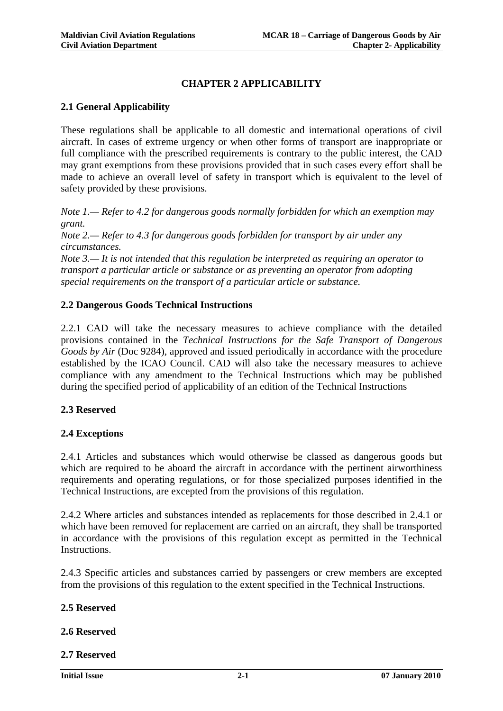## **CHAPTER 2 APPLICABILITY**

#### **2.1 General Applicability**

These regulations shall be applicable to all domestic and international operations of civil aircraft. In cases of extreme urgency or when other forms of transport are inappropriate or full compliance with the prescribed requirements is contrary to the public interest, the CAD may grant exemptions from these provisions provided that in such cases every effort shall be made to achieve an overall level of safety in transport which is equivalent to the level of safety provided by these provisions.

*Note 1.— Refer to 4.2 for dangerous goods normally forbidden for which an exemption may grant.* 

*Note 2.— Refer to 4.3 for dangerous goods forbidden for transport by air under any circumstances.* 

*Note 3.— It is not intended that this regulation be interpreted as requiring an operator to transport a particular article or substance or as preventing an operator from adopting special requirements on the transport of a particular article or substance.*

#### **2.2 Dangerous Goods Technical Instructions**

2.2.1 CAD will take the necessary measures to achieve compliance with the detailed provisions contained in the *Technical Instructions for the Safe Transport of Dangerous Goods by Air* (Doc 9284), approved and issued periodically in accordance with the procedure established by the ICAO Council. CAD will also take the necessary measures to achieve compliance with any amendment to the Technical Instructions which may be published during the specified period of applicability of an edition of the Technical Instructions

#### **2.3 Reserved**

#### **2.4 Exceptions**

2.4.1 Articles and substances which would otherwise be classed as dangerous goods but which are required to be aboard the aircraft in accordance with the pertinent airworthiness requirements and operating regulations, or for those specialized purposes identified in the Technical Instructions, are excepted from the provisions of this regulation.

2.4.2 Where articles and substances intended as replacements for those described in 2.4.1 or which have been removed for replacement are carried on an aircraft, they shall be transported in accordance with the provisions of this regulation except as permitted in the Technical Instructions.

2.4.3 Specific articles and substances carried by passengers or crew members are excepted from the provisions of this regulation to the extent specified in the Technical Instructions.

#### **2.5 Reserved**

#### **2.6 Reserved**

**2.7 Reserved**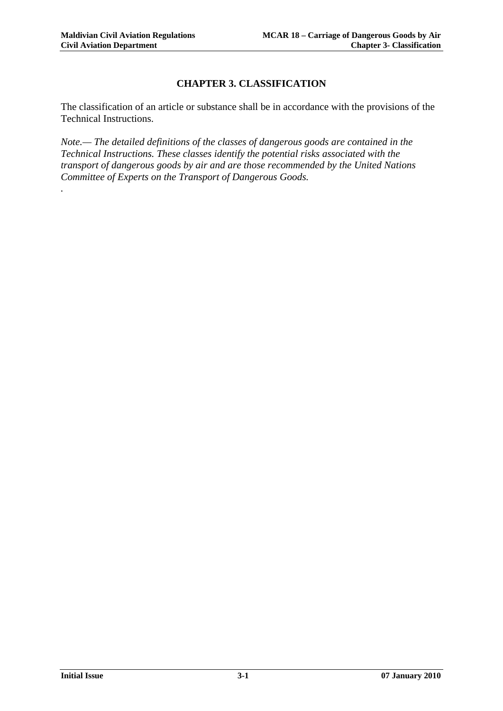*.*

## **CHAPTER 3. CLASSIFICATION**

The classification of an article or substance shall be in accordance with the provisions of the Technical Instructions.

*Note.— The detailed definitions of the classes of dangerous goods are contained in the Technical Instructions. These classes identify the potential risks associated with the transport of dangerous goods by air and are those recommended by the United Nations Committee of Experts on the Transport of Dangerous Goods.*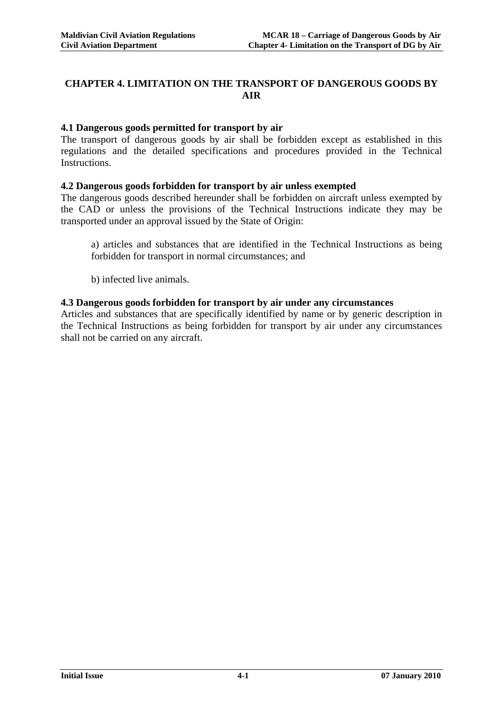## **CHAPTER 4. LIMITATION ON THE TRANSPORT OF DANGEROUS GOODS BY AIR**

#### **4.1 Dangerous goods permitted for transport by air**

The transport of dangerous goods by air shall be forbidden except as established in this regulations and the detailed specifications and procedures provided in the Technical Instructions.

#### **4.2 Dangerous goods forbidden for transport by air unless exempted**

The dangerous goods described hereunder shall be forbidden on aircraft unless exempted by the CAD or unless the provisions of the Technical Instructions indicate they may be transported under an approval issued by the State of Origin:

a) articles and substances that are identified in the Technical Instructions as being forbidden for transport in normal circumstances; and

b) infected live animals.

#### **4.3 Dangerous goods forbidden for transport by air under any circumstances**

Articles and substances that are specifically identified by name or by generic description in the Technical Instructions as being forbidden for transport by air under any circumstances shall not be carried on any aircraft.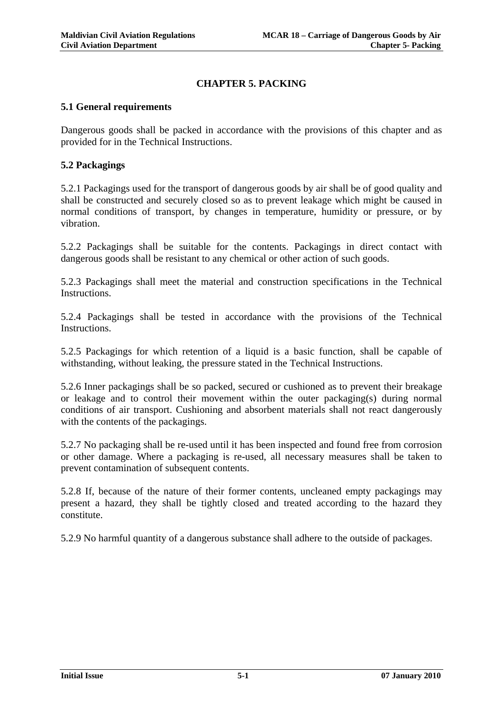## **CHAPTER 5. PACKING**

#### **5.1 General requirements**

Dangerous goods shall be packed in accordance with the provisions of this chapter and as provided for in the Technical Instructions.

#### **5.2 Packagings**

5.2.1 Packagings used for the transport of dangerous goods by air shall be of good quality and shall be constructed and securely closed so as to prevent leakage which might be caused in normal conditions of transport, by changes in temperature, humidity or pressure, or by vibration.

5.2.2 Packagings shall be suitable for the contents. Packagings in direct contact with dangerous goods shall be resistant to any chemical or other action of such goods.

5.2.3 Packagings shall meet the material and construction specifications in the Technical Instructions.

5.2.4 Packagings shall be tested in accordance with the provisions of the Technical Instructions.

5.2.5 Packagings for which retention of a liquid is a basic function, shall be capable of withstanding, without leaking, the pressure stated in the Technical Instructions.

5.2.6 Inner packagings shall be so packed, secured or cushioned as to prevent their breakage or leakage and to control their movement within the outer packaging(s) during normal conditions of air transport. Cushioning and absorbent materials shall not react dangerously with the contents of the packagings.

5.2.7 No packaging shall be re-used until it has been inspected and found free from corrosion or other damage. Where a packaging is re-used, all necessary measures shall be taken to prevent contamination of subsequent contents.

5.2.8 If, because of the nature of their former contents, uncleaned empty packagings may present a hazard, they shall be tightly closed and treated according to the hazard they constitute.

5.2.9 No harmful quantity of a dangerous substance shall adhere to the outside of packages.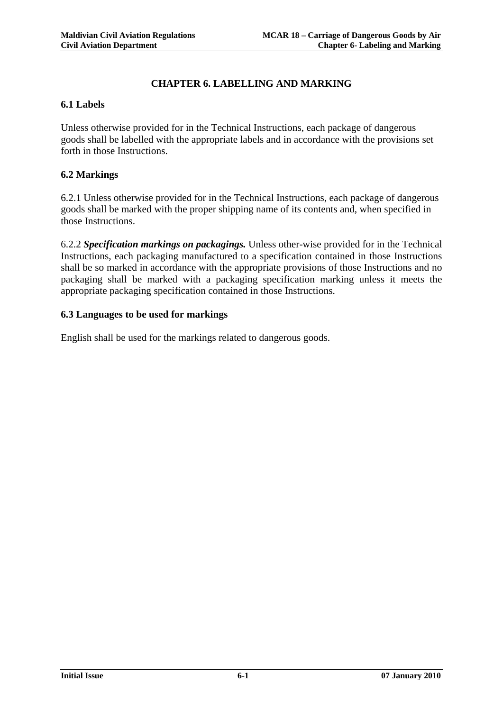#### **CHAPTER 6. LABELLING AND MARKING**

#### **6.1 Labels**

Unless otherwise provided for in the Technical Instructions, each package of dangerous goods shall be labelled with the appropriate labels and in accordance with the provisions set forth in those Instructions.

#### **6.2 Markings**

6.2.1 Unless otherwise provided for in the Technical Instructions, each package of dangerous goods shall be marked with the proper shipping name of its contents and, when specified in those Instructions.

6.2.2 *Specification markings on packagings.* Unless other-wise provided for in the Technical Instructions, each packaging manufactured to a specification contained in those Instructions shall be so marked in accordance with the appropriate provisions of those Instructions and no packaging shall be marked with a packaging specification marking unless it meets the appropriate packaging specification contained in those Instructions.

#### **6.3 Languages to be used for markings**

English shall be used for the markings related to dangerous goods.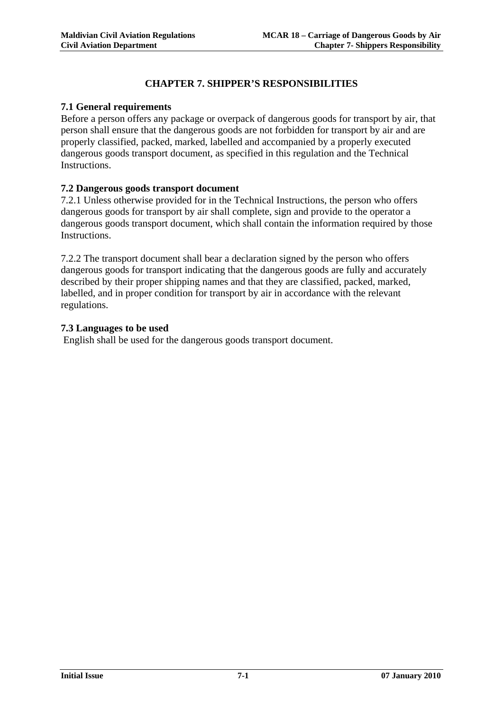## **CHAPTER 7. SHIPPER'S RESPONSIBILITIES**

#### **7.1 General requirements**

Before a person offers any package or overpack of dangerous goods for transport by air, that person shall ensure that the dangerous goods are not forbidden for transport by air and are properly classified, packed, marked, labelled and accompanied by a properly executed dangerous goods transport document, as specified in this regulation and the Technical Instructions.

#### **7.2 Dangerous goods transport document**

7.2.1 Unless otherwise provided for in the Technical Instructions, the person who offers dangerous goods for transport by air shall complete, sign and provide to the operator a dangerous goods transport document, which shall contain the information required by those Instructions.

7.2.2 The transport document shall bear a declaration signed by the person who offers dangerous goods for transport indicating that the dangerous goods are fully and accurately described by their proper shipping names and that they are classified, packed, marked, labelled, and in proper condition for transport by air in accordance with the relevant regulations.

#### **7.3 Languages to be used**

English shall be used for the dangerous goods transport document.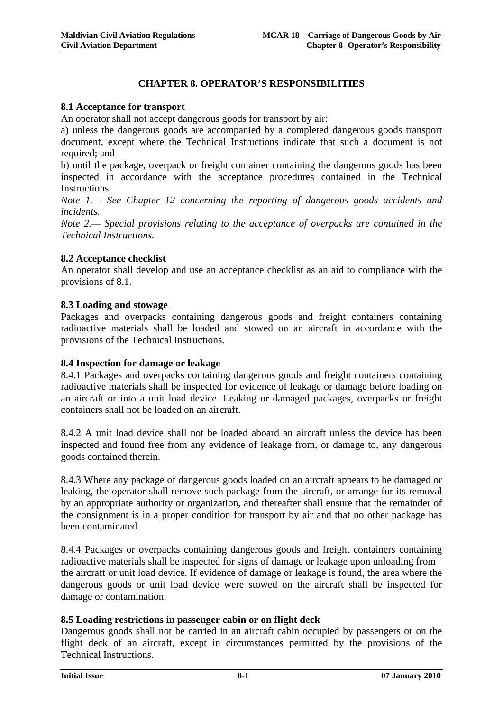## **CHAPTER 8. OPERATOR'S RESPONSIBILITIES**

#### **8.1 Acceptance for transport**

An operator shall not accept dangerous goods for transport by air:

a) unless the dangerous goods are accompanied by a completed dangerous goods transport document, except where the Technical Instructions indicate that such a document is not required; and

b) until the package, overpack or freight container containing the dangerous goods has been inspected in accordance with the acceptance procedures contained in the Technical **Instructions** 

*Note 1.— See Chapter 12 concerning the reporting of dangerous goods accidents and incidents.* 

*Note 2.— Special provisions relating to the acceptance of overpacks are contained in the Technical Instructions.* 

#### **8.2 Acceptance checklist**

An operator shall develop and use an acceptance checklist as an aid to compliance with the provisions of 8.1.

#### **8.3 Loading and stowage**

Packages and overpacks containing dangerous goods and freight containers containing radioactive materials shall be loaded and stowed on an aircraft in accordance with the provisions of the Technical Instructions.

#### **8.4 Inspection for damage or leakage**

8.4.1 Packages and overpacks containing dangerous goods and freight containers containing radioactive materials shall be inspected for evidence of leakage or damage before loading on an aircraft or into a unit load device. Leaking or damaged packages, overpacks or freight containers shall not be loaded on an aircraft.

8.4.2 A unit load device shall not be loaded aboard an aircraft unless the device has been inspected and found free from any evidence of leakage from, or damage to, any dangerous goods contained therein.

8.4.3 Where any package of dangerous goods loaded on an aircraft appears to be damaged or leaking, the operator shall remove such package from the aircraft, or arrange for its removal by an appropriate authority or organization, and thereafter shall ensure that the remainder of the consignment is in a proper condition for transport by air and that no other package has been contaminated.

8.4.4 Packages or overpacks containing dangerous goods and freight containers containing radioactive materials shall be inspected for signs of damage or leakage upon unloading from the aircraft or unit load device. If evidence of damage or leakage is found, the area where the dangerous goods or unit load device were stowed on the aircraft shall be inspected for damage or contamination.

#### **8.5 Loading restrictions in passenger cabin or on flight deck**

Dangerous goods shall not be carried in an aircraft cabin occupied by passengers or on the flight deck of an aircraft, except in circumstances permitted by the provisions of the Technical Instructions.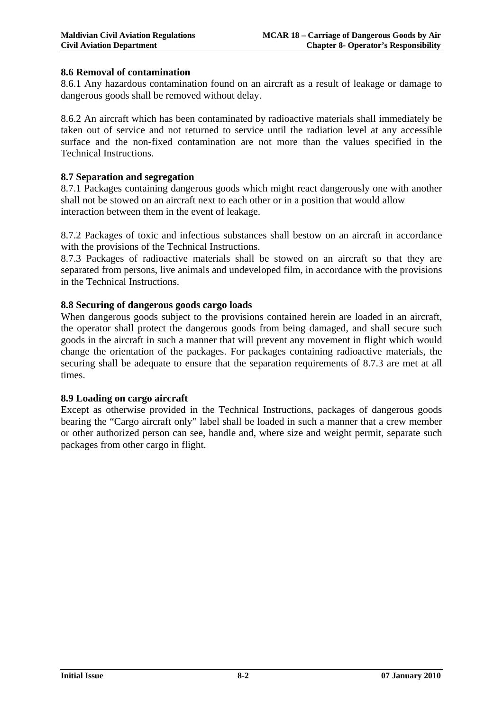#### **8.6 Removal of contamination**

8.6.1 Any hazardous contamination found on an aircraft as a result of leakage or damage to dangerous goods shall be removed without delay.

8.6.2 An aircraft which has been contaminated by radioactive materials shall immediately be taken out of service and not returned to service until the radiation level at any accessible surface and the non-fixed contamination are not more than the values specified in the Technical Instructions.

#### **8.7 Separation and segregation**

8.7.1 Packages containing dangerous goods which might react dangerously one with another shall not be stowed on an aircraft next to each other or in a position that would allow interaction between them in the event of leakage.

8.7.2 Packages of toxic and infectious substances shall bestow on an aircraft in accordance with the provisions of the Technical Instructions.

8.7.3 Packages of radioactive materials shall be stowed on an aircraft so that they are separated from persons, live animals and undeveloped film, in accordance with the provisions in the Technical Instructions.

#### **8.8 Securing of dangerous goods cargo loads**

When dangerous goods subject to the provisions contained herein are loaded in an aircraft, the operator shall protect the dangerous goods from being damaged, and shall secure such goods in the aircraft in such a manner that will prevent any movement in flight which would change the orientation of the packages. For packages containing radioactive materials, the securing shall be adequate to ensure that the separation requirements of 8.7.3 are met at all times.

#### **8.9 Loading on cargo aircraft**

Except as otherwise provided in the Technical Instructions, packages of dangerous goods bearing the "Cargo aircraft only" label shall be loaded in such a manner that a crew member or other authorized person can see, handle and, where size and weight permit, separate such packages from other cargo in flight.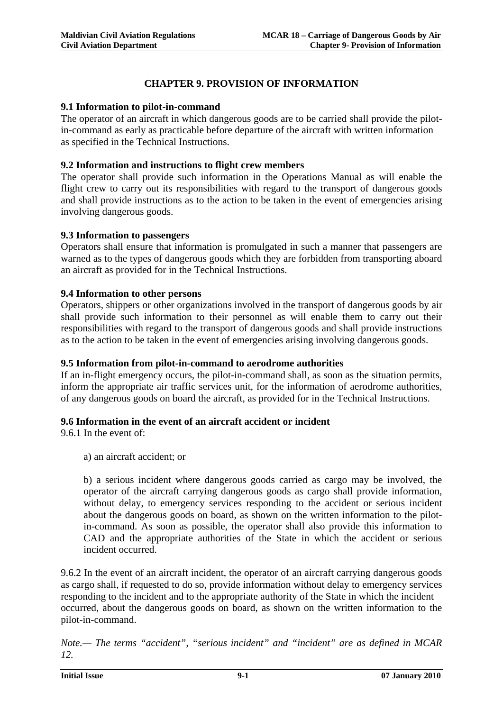## **CHAPTER 9. PROVISION OF INFORMATION**

#### **9.1 Information to pilot-in-command**

The operator of an aircraft in which dangerous goods are to be carried shall provide the pilotin-command as early as practicable before departure of the aircraft with written information as specified in the Technical Instructions.

#### **9.2 Information and instructions to flight crew members**

The operator shall provide such information in the Operations Manual as will enable the flight crew to carry out its responsibilities with regard to the transport of dangerous goods and shall provide instructions as to the action to be taken in the event of emergencies arising involving dangerous goods.

#### **9.3 Information to passengers**

Operators shall ensure that information is promulgated in such a manner that passengers are warned as to the types of dangerous goods which they are forbidden from transporting aboard an aircraft as provided for in the Technical Instructions.

#### **9.4 Information to other persons**

Operators, shippers or other organizations involved in the transport of dangerous goods by air shall provide such information to their personnel as will enable them to carry out their responsibilities with regard to the transport of dangerous goods and shall provide instructions as to the action to be taken in the event of emergencies arising involving dangerous goods.

#### **9.5 Information from pilot-in-command to aerodrome authorities**

If an in-flight emergency occurs, the pilot-in-command shall, as soon as the situation permits, inform the appropriate air traffic services unit, for the information of aerodrome authorities, of any dangerous goods on board the aircraft, as provided for in the Technical Instructions.

#### **9.6 Information in the event of an aircraft accident or incident**

9.6.1 In the event of:

a) an aircraft accident; or

b) a serious incident where dangerous goods carried as cargo may be involved, the operator of the aircraft carrying dangerous goods as cargo shall provide information, without delay, to emergency services responding to the accident or serious incident about the dangerous goods on board, as shown on the written information to the pilotin-command. As soon as possible, the operator shall also provide this information to CAD and the appropriate authorities of the State in which the accident or serious incident occurred.

9.6.2 In the event of an aircraft incident, the operator of an aircraft carrying dangerous goods as cargo shall, if requested to do so, provide information without delay to emergency services responding to the incident and to the appropriate authority of the State in which the incident occurred, about the dangerous goods on board, as shown on the written information to the pilot-in-command.

*Note.— The terms "accident", "serious incident" and "incident" are as defined in MCAR 12.*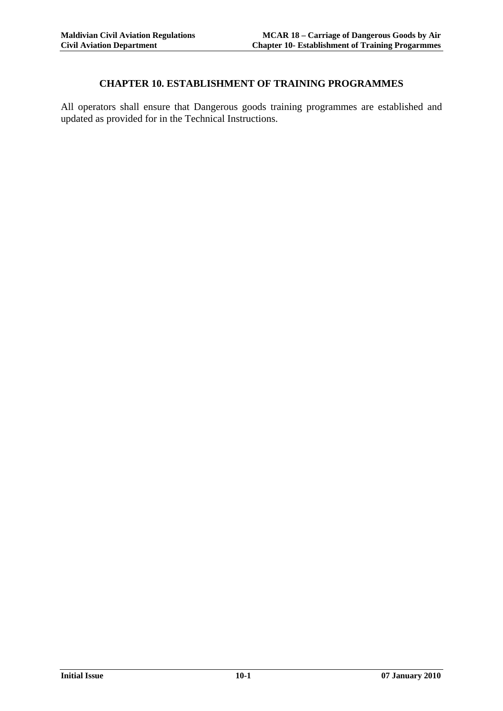#### **CHAPTER 10. ESTABLISHMENT OF TRAINING PROGRAMMES**

All operators shall ensure that Dangerous goods training programmes are established and updated as provided for in the Technical Instructions.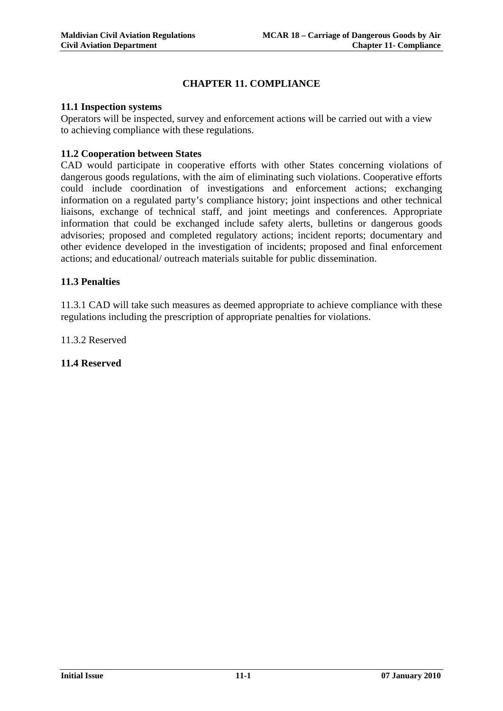#### **CHAPTER 11. COMPLIANCE**

#### **11.1 Inspection systems**

Operators will be inspected, survey and enforcement actions will be carried out with a view to achieving compliance with these regulations.

#### **11.2 Cooperation between States**

CAD would participate in cooperative efforts with other States concerning violations of dangerous goods regulations, with the aim of eliminating such violations. Cooperative efforts could include coordination of investigations and enforcement actions; exchanging information on a regulated party's compliance history; joint inspections and other technical liaisons, exchange of technical staff, and joint meetings and conferences. Appropriate information that could be exchanged include safety alerts, bulletins or dangerous goods advisories; proposed and completed regulatory actions; incident reports; documentary and other evidence developed in the investigation of incidents; proposed and final enforcement actions; and educational/ outreach materials suitable for public dissemination.

#### **11.3 Penalties**

11.3.1 CAD will take such measures as deemed appropriate to achieve compliance with these regulations including the prescription of appropriate penalties for violations.

11.3.2 Reserved

**11.4 Reserved**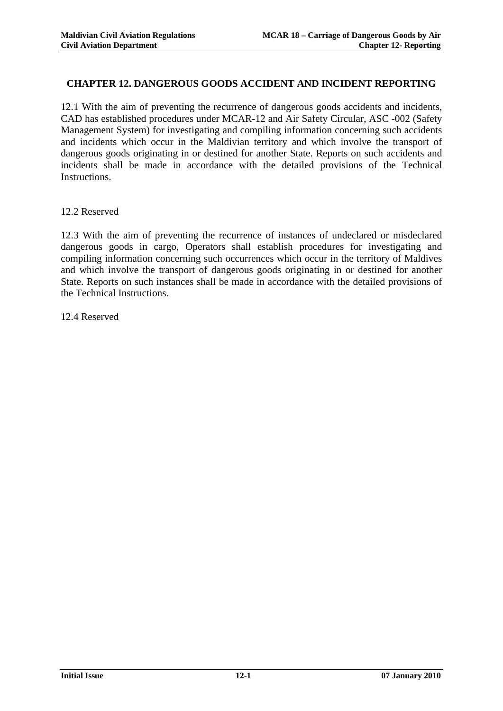#### **CHAPTER 12. DANGEROUS GOODS ACCIDENT AND INCIDENT REPORTING**

12.1 With the aim of preventing the recurrence of dangerous goods accidents and incidents, CAD has established procedures under MCAR-12 and Air Safety Circular, ASC -002 (Safety Management System) for investigating and compiling information concerning such accidents and incidents which occur in the Maldivian territory and which involve the transport of dangerous goods originating in or destined for another State. Reports on such accidents and incidents shall be made in accordance with the detailed provisions of the Technical Instructions.

12.2 Reserved

12.3 With the aim of preventing the recurrence of instances of undeclared or misdeclared dangerous goods in cargo, Operators shall establish procedures for investigating and compiling information concerning such occurrences which occur in the territory of Maldives and which involve the transport of dangerous goods originating in or destined for another State. Reports on such instances shall be made in accordance with the detailed provisions of the Technical Instructions.

12.4 Reserved